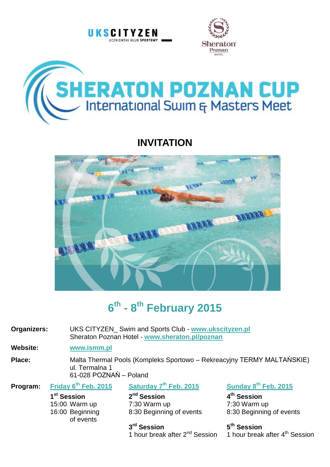





# **INVITATION**



# **6 th - 8 th February 2015**

**Organizers:** UKS CITYZEN\_ Swim and Sports Club - **[www.ukscityzen.pl](http://www.ukscityzen.pl/)** Sheraton Poznan Hotel - **[www.sheraton.pl/poznan](http://www.sheraton.pl/poznan)**

# **Website: [www.ismm.pl](http://www.ismm.pl/)**

**Place:** Malta Thermal Pools (Kompleks Sportowo – Rekreacyjny TERMY MALTAŃSKIE) ul. Termalna 1 61-028 POZNAŃ – Poland

| Program: | Friday 6 <sup>th</sup> Feb. 2015 | Saturday 7 <sup>th</sup> Feb. 2015 | Sunday 8th Feb. 2015     |
|----------|----------------------------------|------------------------------------|--------------------------|
|          | 1 <sup>st</sup> Session          | 2 <sup>nd</sup> Session            | 4 <sup>th</sup> Session  |
|          | 15:00 Warm up                    | 7:30 Warm up                       | 7:30 Warm up             |
|          | 16:00 Beginning<br>of events     | 8:30 Beginning of events           | 8:30 Beginning of events |
|          |                                  | 3 <sup>rd</sup> Session            | 5 <sup>th</sup> Session  |

1 hour break after 2<sup>nd</sup> Session 1 hour break after 4<sup>th</sup> Session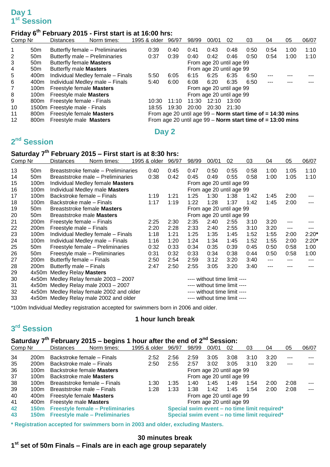# **Day 1 st Session**

# **Friday 6th February 2015 - First start is at 16:00 hrs:**

| Comp Nr |                 | <b>Distances</b>                | Norm times:                       | 1995 & older | 96/97 | 98/99                    | 00/01                                                        | 02    | 03   | 04   | 05   | 06/07 |
|---------|-----------------|---------------------------------|-----------------------------------|--------------|-------|--------------------------|--------------------------------------------------------------|-------|------|------|------|-------|
|         | 50 <sub>m</sub> |                                 | Butterfly female – Preliminaries  | 0:39         | 0:40  | 0:41                     | 0:43                                                         | 0:48  | 0:50 | 0:54 | 1:00 | 1:10  |
| 2       | 50 <sub>m</sub> |                                 | Butterfly male - Preliminaries    | 0:37         | 0:39  | 0:40                     | 0:42                                                         | 0:46  | 0:50 | 0:54 | 1:00 | 1:10  |
| 3       | 50 <sub>m</sub> | <b>Butterfly female Masters</b> |                                   |              |       | From age 20 until age 99 |                                                              |       |      |      |      |       |
| 4       | 50 <sub>m</sub> | Butterfly male Masters          |                                   |              |       |                          | From age 20 until age 99                                     |       |      |      |      |       |
| 5       | 400m            |                                 | Individual Medley female - Finals | 5:50         | 6:05  | 6:15                     | 6:25                                                         | 6:35  | 6:50 | ---  |      |       |
| 6       | 400m            |                                 | Individual Medley male - Finals   | 5:40         | 6:00  | 6:08                     | 6:20                                                         | 6:35  | 6:50 | ---  |      |       |
| 7       | 100m            | Freestyle female <b>Masters</b> |                                   |              |       |                          | From age 20 until age 99                                     |       |      |      |      |       |
| 8       | 100m            | Freestyle male Masters          |                                   |              |       |                          | From age 20 until age 99                                     |       |      |      |      |       |
| 9       | 800m            | Freestyle female - Finals       |                                   | 10:30        | 11:10 | 11:30                    | 12:10                                                        | 13:00 |      |      |      |       |
| 10      |                 | 1500m Freestyle male - Finals   |                                   | 18:55        | 19:30 | 20:00                    | 20:30                                                        | 21:30 |      |      |      |       |
| 11      | 800m            | Freestyle female Masters        |                                   |              |       |                          | From age 20 until age $99 -$ Norm start time of = 14:30 mins |       |      |      |      |       |
| $12 \,$ | 800m            | Freestyle male <b>Masters</b>   |                                   |              |       |                          | From age 20 until age $99 -$ Norm start time of = 13:00 mins |       |      |      |      |       |

**Day 2**

# **nd Session**

### **Saturday 7 th February 2015 – First start is at 8:30 hrs:**

| Comp Nr |                  | Distances<br>Norm times:                 | 1995 & older             | 96/97 | 98/99                        | 00/01                        | 02   | 03   | 04    | 05                | 06/07   |
|---------|------------------|------------------------------------------|--------------------------|-------|------------------------------|------------------------------|------|------|-------|-------------------|---------|
| 13      | 50m              | Breaststroke female – Preliminaries      | 0:40                     | 0:45  | 0:47                         | 0:50                         | 0:55 | 0:58 | 1:00  | 1:05              | 1:10    |
| 14      | 50m              | Breaststroke male – Preliminaries        | 0:38                     | 0:42  | 0:45                         | 0:49                         | 0:55 | 0:58 | 1:00  | 1:05              | 1:10    |
| 15      | 100m             | Individual Medley female Masters         |                          |       |                              | From age 20 until age 99     |      |      |       |                   |         |
| 16      | 100m             | Individual Medley male Masters           |                          |       |                              | From age 20 until age 99     |      |      |       |                   |         |
| 17      | 100 <sub>m</sub> | Backstroke female – Finals               | 1:19                     | 1:21  | 1:25                         | 1:30                         | 1:38 | 1:42 | 1:45  | 2:00              |         |
| 18      | 100m             | Backstroke male - Finals                 | 1:17                     | 1:19  | 1:22                         | 1:28                         | 1:37 | 1:42 | 1:45  | 2:00              |         |
| 19      | 50m              | Breaststroke female <b>Masters</b>       | From age 20 until age 99 |       |                              |                              |      |      |       |                   |         |
| 20      | 50m              | Breaststroke male <b>Masters</b>         |                          |       |                              | From age 20 until age 99     |      |      |       |                   |         |
| 21      | 200m             | Freestyle female - Finals                | 2:25                     | 2:30  | 2:35                         | 2:40                         | 2:55 | 3:10 | 3:20  |                   |         |
| 22      | 200m             | Freestyle male - Finals                  | 2:20                     | 2:28  | 2:33                         | 2:40                         | 2:55 | 3:10 | 3:20  | $\qquad \qquad -$ |         |
| 23      | 100m             | Individual Medley female - Finals        | 1:18                     | 1:21  | 1:25                         | 1:35                         | 1:45 | 1:52 | 1:55  | 2:00              | $2:20*$ |
| 24      | 100m             | Individual Medley male - Finals          | 1:16                     | 1:20  | 1:24                         | 1:34                         | 1:45 | 1:52 | 1:55  | 2:00              | $2:20*$ |
| 25      | 50m              | Freestyle female - Preliminaries         | 0:32                     | 0:33  | 0:34                         | 0:35                         | 0:39 | 0:45 | 0:50  | 0:58              | 1:00    |
| 26      | 50m              | Freestyle male - Preliminaries           | 0:31                     | 0:32  | 0:33                         | 0:34                         | 0:38 | 0:44 | 0:50  | 0:58              | 1:00    |
| 27      | 200m             | Butterfly female - Finals                | 2:50                     | 2:54  | 2:59                         | 3:12                         | 3:20 | 3:40 | $---$ | ---               | ---     |
| 28      | 200m             | Butterfly male – Finals                  | 2:47                     | 2:50  | 2:55                         | 3:05                         | 3:20 | 3:40 | ---   | ---               |         |
| 29      |                  | 4x50m Medley Relay Masters               |                          |       |                              |                              |      |      |       |                   |         |
| 30      |                  | 4x50m Medley Relay female 2003 - 2007    |                          |       |                              | ---- without time limit ---- |      |      |       |                   |         |
| 31      |                  | 4x50m Medley Relay male 2003 - 2007      |                          |       |                              | ---- without time limit ---- |      |      |       |                   |         |
| 32      |                  | 4x50m Medley Relay female 2002 and older |                          |       |                              | ---- without time limit ---- |      |      |       |                   |         |
| 33      |                  | 4x50m Medley Relay male 2002 and older   |                          |       | ---- without time limit ---- |                              |      |      |       |                   |         |

\*100m Individual Medley registration accepted for swimmers born in 2006 and older.

#### **1 hour lunch break**

# **rd Session**

## Saturday 7<sup>th</sup> February 2015 – begins 1 hour after the end of 2<sup>nd</sup> Session:

| Comp Nr |                  | <b>Distances</b>                      | Norm times:                           | 1995 & older | 96/97                                        | 98/99 | 00/01                    | 02   | 03   | 04                                           | 05      | 06/07   |
|---------|------------------|---------------------------------------|---------------------------------------|--------------|----------------------------------------------|-------|--------------------------|------|------|----------------------------------------------|---------|---------|
| 34      | 200 <sub>m</sub> |                                       | Backstroke female – Finals            | 2:52         | 2:56                                         | 2:59  | 3:05                     | 3:08 | 3:10 | 3:20                                         | $- - -$ |         |
| 35      | 200 <sub>m</sub> | Backstroke male – Finals              | 2:50                                  | 2:55         | 2:57                                         | 3:02  | 3:05                     | 3:10 | 3:20 | $---$                                        |         |         |
| 36      | 100m             | Backstroke female <b>Masters</b>      |                                       |              | From age 20 until age 99                     |       |                          |      |      |                                              |         |         |
| 37      | 100m             |                                       | Backstroke male <b>Masters</b>        |              |                                              |       | From age 20 until age 99 |      |      |                                              |         |         |
| 38      | 100m             |                                       | Breaststroke female – Finals          | 1:30         | 1:35                                         | 1:40  | 1:45                     | 1:49 | 1:54 | 2:00                                         | 2:08    | ---     |
| 39      | 100m             |                                       | Breaststroke male – Finals            | 1:28         | 1:33                                         | 1:38  | 1:42                     | 1:45 | 1:54 | 2:00                                         | 2:08    | $- - -$ |
| 40      |                  | 400m Freestyle female Masters         |                                       |              |                                              |       | From age 20 until age 99 |      |      |                                              |         |         |
| 41      |                  | 400m Freestyle male Masters           |                                       |              |                                              |       | From age 20 until age 99 |      |      |                                              |         |         |
| 42      |                  | 150m Freestyle female - Preliminaries |                                       |              | Special swim event - no time limit required* |       |                          |      |      |                                              |         |         |
| 43      | 150m             |                                       | <b>Freestyle male - Preliminaries</b> |              |                                              |       |                          |      |      | Special swim event – no time limit required* |         |         |

**\* Registration accepted for swimmers born in 2003 and older, excluding Masters.**

### **30 minutes break st set of 50m Finals – Finals are in each age group separately**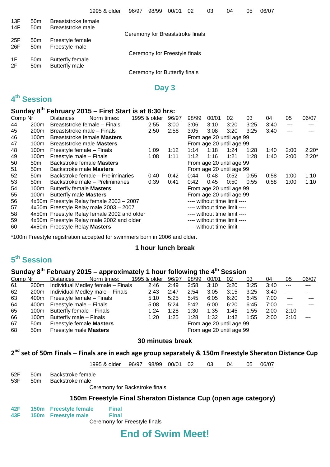| 13F | 50m             | Breaststroke female |                                  |
|-----|-----------------|---------------------|----------------------------------|
| 14F | 50 <sub>m</sub> | Breaststroke male   |                                  |
|     |                 |                     | Ceremony for Breaststroke finals |
| 25F | 50 <sub>m</sub> | Freestyle female    |                                  |
| 26F | 50 <sub>m</sub> | Freestyle male      |                                  |
|     |                 |                     | Ceremony for Freestyle finals    |
| 1F  | 50 <sub>m</sub> | Butterfly female    |                                  |
| 2F  | 50 <sub>m</sub> | Butterfly male      |                                  |
|     |                 |                     | Ceremony for Butterfly finals    |

#### **Day 3**

# **4 th Session**

# **Sunday 8 th February 2015 – First Start is at 8:30 hrs:**

| Comp Nr          | Norm times:<br>Distances |  | 1995 & older                                                                                                                                                                                                                                                                                                                                              | 96/97                                                                                                                                                                                                                                                  | 98/99                    | 00/01                        | 02   | 03   | 04                                                                                                                                               | 05   | 06/07   |
|------------------|--------------------------|--|-----------------------------------------------------------------------------------------------------------------------------------------------------------------------------------------------------------------------------------------------------------------------------------------------------------------------------------------------------------|--------------------------------------------------------------------------------------------------------------------------------------------------------------------------------------------------------------------------------------------------------|--------------------------|------------------------------|------|------|--------------------------------------------------------------------------------------------------------------------------------------------------|------|---------|
| 200 <sub>m</sub> |                          |  | 2:55                                                                                                                                                                                                                                                                                                                                                      | 3:00                                                                                                                                                                                                                                                   | 3:06                     | 3:10                         | 3:20 | 3:25 | 3:40                                                                                                                                             | ---  |         |
| 200 <sub>m</sub> |                          |  | 2:50                                                                                                                                                                                                                                                                                                                                                      | 2:58                                                                                                                                                                                                                                                   | 3:05                     | 3:08                         | 3:20 | 3:25 | 3:40                                                                                                                                             | ---  |         |
| 100 <sub>m</sub> |                          |  |                                                                                                                                                                                                                                                                                                                                                           |                                                                                                                                                                                                                                                        |                          |                              |      |      |                                                                                                                                                  |      |         |
| 100 <sub>m</sub> |                          |  |                                                                                                                                                                                                                                                                                                                                                           |                                                                                                                                                                                                                                                        |                          |                              |      |      |                                                                                                                                                  |      |         |
| 100m             |                          |  | 1:09                                                                                                                                                                                                                                                                                                                                                      | 1:12                                                                                                                                                                                                                                                   | 1:14                     | 1:18                         | 1:24 | 1:28 | 1:40                                                                                                                                             | 2:00 | $2:20*$ |
| 100m             |                          |  | 1:08                                                                                                                                                                                                                                                                                                                                                      | 1:11                                                                                                                                                                                                                                                   | 1:12                     | 1:16                         | 1:21 | 1:28 | 1:40                                                                                                                                             | 2:00 | $2:20*$ |
| 50 <sub>m</sub>  |                          |  |                                                                                                                                                                                                                                                                                                                                                           |                                                                                                                                                                                                                                                        | From age 20 until age 99 |                              |      |      |                                                                                                                                                  |      |         |
| 50 <sub>m</sub>  |                          |  |                                                                                                                                                                                                                                                                                                                                                           |                                                                                                                                                                                                                                                        |                          |                              |      |      |                                                                                                                                                  |      |         |
| 50 <sub>m</sub>  |                          |  | 0:40                                                                                                                                                                                                                                                                                                                                                      | 0:42                                                                                                                                                                                                                                                   | 0:44                     | 0:48                         | 0:52 | 0:55 | 0:58                                                                                                                                             | 1:00 | 1:10    |
| 50 <sub>m</sub>  |                          |  | 0:39                                                                                                                                                                                                                                                                                                                                                      | 0:41                                                                                                                                                                                                                                                   | 0:42                     | 0:45                         | 0:50 | 0:55 | 0:58                                                                                                                                             | 1:00 | 1:10    |
| 100m             |                          |  |                                                                                                                                                                                                                                                                                                                                                           |                                                                                                                                                                                                                                                        | From age 20 until age 99 |                              |      |      |                                                                                                                                                  |      |         |
| 100m             |                          |  |                                                                                                                                                                                                                                                                                                                                                           |                                                                                                                                                                                                                                                        | From age 20 until age 99 |                              |      |      |                                                                                                                                                  |      |         |
|                  |                          |  |                                                                                                                                                                                                                                                                                                                                                           |                                                                                                                                                                                                                                                        |                          | ---- without time limit ---- |      |      |                                                                                                                                                  |      |         |
|                  |                          |  |                                                                                                                                                                                                                                                                                                                                                           |                                                                                                                                                                                                                                                        |                          |                              |      |      |                                                                                                                                                  |      |         |
|                  |                          |  |                                                                                                                                                                                                                                                                                                                                                           | ---- without time limit ----                                                                                                                                                                                                                           |                          |                              |      |      |                                                                                                                                                  |      |         |
|                  |                          |  |                                                                                                                                                                                                                                                                                                                                                           | ---- without time limit ----                                                                                                                                                                                                                           |                          |                              |      |      |                                                                                                                                                  |      |         |
|                  |                          |  |                                                                                                                                                                                                                                                                                                                                                           |                                                                                                                                                                                                                                                        |                          |                              |      |      |                                                                                                                                                  |      |         |
|                  |                          |  | Breaststroke female – Finals<br>Breaststroke male – Finals<br>Breaststroke female <b>Masters</b><br>Breaststroke male <b>Masters</b><br>Freestyle female - Finals<br>Freestyle male - Finals<br>Backstroke female Masters<br>Backstroke male <b>Masters</b><br>Butterfly female <b>Masters</b><br>Butterfly male Masters<br>4x50m Freestyle Relay Masters | Backstroke female – Preliminaries<br>Backstroke male – Preliminaries<br>4x50m Freestyle Relay female 2003 - 2007<br>4x50m Freestyle Relay male 2003 - 2007<br>4x50m Freestyle Relay female 2002 and older<br>4x50m Freestyle Relay male 2002 and older |                          |                              |      |      | From age 20 until age 99<br>From age 20 until age 99<br>From age 20 until age 99<br>---- without time limit ----<br>---- without time limit ---- |      |         |

\*100m Freestyle registration accepted for swimmers born in 2006 and older.

#### **1 hour lunch break**

# **5 th Session**

### **Sunday 8 th February 2015 – approximately 1 hour following the 4 th Session**

| Comp Nr |                  | <b>Distances</b>          | Norm times:                       | 1995 & older | 96/97 | 98/99 | 00/01                    | 02   | 03   | 04   | 05      | 06/07   |
|---------|------------------|---------------------------|-----------------------------------|--------------|-------|-------|--------------------------|------|------|------|---------|---------|
| 61      | 200 <sub>m</sub> |                           | Individual Medley female - Finals | 2:46         | 2:49  | 2:58  | 3:10                     | 3:20 | 3:25 | 3:40 | $---$   |         |
| 62      | 200m             |                           | Individual Medley male - Finals   | 2:43         | 2:47  | 2:54  | 3:05                     | 3:15 | 3:25 | 3:40 | $- - -$ |         |
| 63      | 400m             |                           | Freestyle female - Finals         | 5:10         | 5:25  | 5:45  | 6:05                     | 6:20 | 6:45 | 7:00 | $---$   |         |
| 64      | 400m             | Freestyle male - Finals   |                                   | 5:08         | 5:24  | 5:42  | 6:00                     | 6:20 | 6:45 | 7:00 | $---$   |         |
| 65      | 100m             | Butterfly female - Finals |                                   | 1:24         | 1:28  | 1:30  | 1:35                     | 1:45 | 1:55 | 2:00 | 2:10    | $- - -$ |
| 66      | 100m             | Butterfly male - Finals   |                                   | 1:20         | 1:25  | 1:28  | 1:32                     | 1:42 | 1:55 | 2:00 | 2:10    | $- - -$ |
| 67      | 50 <sub>m</sub>  |                           | Freestyle female Masters          |              |       |       | From age 20 until age 99 |      |      |      |         |         |
| 68      | 50 <sub>m</sub>  | Freestyle male Masters    |                                   |              |       |       | From age 20 until age 99 |      |      |      |         |         |

#### **30 minutes break**

# **2 nd set of 50m Finals – Finals are in each age group separately & 150m Freestyle Sheraton Distance Cup**

1995 & older 96/97 98/99 00/01 02 03 04 05 06/07

52F 50m Backstroke female 53F 50m Backstroke male

Ceremony for Backstroke finals

#### **150m Freestyle Final Sheraton Distance Cup (open age category)**

| 42F | 150m Freestyle female | <b>Final</b> |
|-----|-----------------------|--------------|
| 43F | 150m Freestyle male   | <b>Final</b> |

Ceremony for Freestyle finals

# **End of Swim Meet!**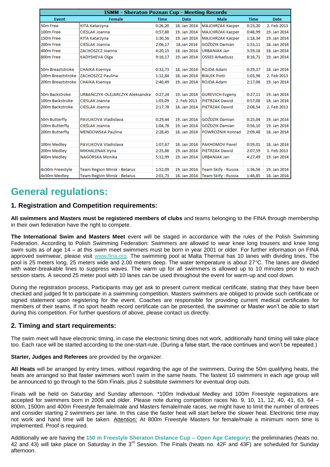| <b>ISMM - Sheraton Poznan Cup - Meeting Records</b> |                                    |             |              |                                    |             |              |  |  |
|-----------------------------------------------------|------------------------------------|-------------|--------------|------------------------------------|-------------|--------------|--|--|
| Event                                               | <b>Female</b>                      | <b>Time</b> | <b>Date</b>  | <b>Male</b>                        | <b>Time</b> | <b>Date</b>  |  |  |
| 50 <sub>m</sub> Free                                | KITA Katarzyna                     | 0:26,20     | 18. Jan 2014 | <b>MAJCHRZAK Kacper</b>            | 0:23,20     | 2. Feb 2013  |  |  |
| 100m Free                                           | <b>CIESLAK Joanna</b>              | 0:57,80     | 19. Jan 2014 | MAJCHRZAK Kacper                   | 0:48,99     | 19. Jan 2014 |  |  |
| 150m Free                                           | KITA Katarzyna                     | 1:30,56     | 19. Jan 2014 | MAJCHRZAK Kacper                   | 1:18,34     | 19. Jan 2014 |  |  |
| 200m Free                                           | <b>CIESLAK Joanna</b>              | 2:06,17     | 18.Jan 2014  | GOŹDZIK Damian                     | 1:53,11     | 18. Jan 2014 |  |  |
| 400m Free                                           | ZACHOSZCZ Joanna                   | 4:20,15     | 18. Jan 2014 | <b>URBANIAK Jan</b>                | 3:59,16     | 18. Jan 2014 |  |  |
| 800m Free                                           | <b>KADYSHEVA Olga</b>              | 9:16,17     | 19. Jan 2014 | <b>OSSES Arkadiusz</b>             | 8:16,71     | 19. Jan 2014 |  |  |
|                                                     |                                    |             |              |                                    |             |              |  |  |
| 50m Breaststroke                                    | CHAIKA Kseniya                     | 0:32,73     | 18. Jan 2014 | ROJDA Adam                         | 0:29,37     | 18. Jan 2014 |  |  |
| 100m Breaststroke                                   | ZACHOSZCZ Paulina                  | 1:12,84     | 18. Jan 2014 | <b>BIALEK Piotr</b>                | 1:03,96     | 2. Feb 2013  |  |  |
| 200m Breaststroke                                   | CHAIKA Kseniya                     | 2:40,49     | 19. Jan 2014 | ROJDA Adam                         | 2:17.06     | 19. Jan 2014 |  |  |
|                                                     |                                    |             |              |                                    |             |              |  |  |
| 50m Backstroke                                      | URBAŃCZYK-OLEJARCZYK Aleksandra    | 0:27,24     | 19. Jan 2014 | <b>GUREVICH Evgeny</b>             | 0:27,11     | 19. Jan 2014 |  |  |
| 100m Backstroke                                     | <b>CIESLAK Joanna</b>              | 1:03,09     | 2. Feb 2013  | PIETRZAK Dawid                     | 0:57,08     | 18. Jan 2014 |  |  |
| 200m Backstroke                                     | <b>CIESLAK Joanna</b>              | 2:17,78     | 18. Jan 2014 | <b>PIETRZAK Dawid</b>              | 2:08,54     | 2. Feb 2013  |  |  |
|                                                     |                                    |             |              |                                    |             |              |  |  |
| 50m Butterfly                                       | PAVLIKOVA Vladislava               | 0:29.64     | 19. Jan 2014 | GOŹDZIK Damian                     | 0:25,04     | 19. Jan 2014 |  |  |
| 100m Butterfly                                      | CIEŚLAK Joanna                     | 1:04,78     | 19. Jan 2014 | <b>GOŹDZIK Damian</b>              | 0:56,10     | 19. Jan 2014 |  |  |
| 200m Butterfly                                      | <b>MENDOWSKA Paulina</b>           | 2:28,45     | 18. Jan 2014 | POWROŻNIK Konrad                   | 2:09,48     | 18. Jan 2014 |  |  |
|                                                     |                                    |             |              |                                    |             |              |  |  |
| 100m Medley                                         | PAVLIKOVA Vladislava               | 1:07,67     | 18. Jan 2014 | <b>PAKHOMOV Pavel</b>              | 0:59,01     | 18. Jan 2014 |  |  |
| 200m Medley                                         | MIKHALENAK Iryna                   | 2:25,86     | 19. Jan 2014 | <b>PIETRZAK Dawid</b>              | 2:07.59     | 3. Feb 2013  |  |  |
| 400m Medley                                         | NAGÓRSKA Monika                    | 5:12,99     | 19. Jan 2014 | <b>URBANIAK Jan</b>                | 4:27.49     | 19. Jan 2014 |  |  |
|                                                     |                                    |             |              |                                    |             |              |  |  |
| 4x50m Freestyle                                     | <b>Team Region Minsk - Belarus</b> | 1:52,09     | 19. Jan 2014 | Team Skify - Russia                | 1:36,56     | 19. Jan 2014 |  |  |
| 4x50m Medley                                        | <b>Team Region Minsk - Belarus</b> | 2:01,73     |              | 18. Jan 2014   Team Skify - Russia | 1:46,85     | 18. Jan 2014 |  |  |

# **General regulations:**

#### **1. Registration and Competition requirements:**

**All swimmers and Masters must be registered members of clubs** and teams belonging to the FINA through membership in their own federation have the right to compete.

**The International Swim and Masters Meet** event will be staged in accordance with the rules of the Polish Swimming Federation. According to Polish Swimming Federation: Swimmers are allowed to wear knee long trousers and knee long swim suits as of age 14 – at this swim meet swimmers must be born in year 2001 or older. For further information on FINA approved swimwear, please visit [www.fina.org.](http://www.fina.org/) The swimming pool at Malta Thermal has 10 lanes with dividing lines. The pool is 25 meters long, 25 meters wide and 2.00 meters deep. The water temperature is about 27°C. The lanes are divided with water-breakable lines to suppress waves. The warm up for all swimmers is allowed up to 10 minutes prior to each session starts. A second 25 meter pool with 10 lanes can be used throughout the event for warm-up and cool down.

During the registration process, Participants may get ask to present current medical certificate, stating that they have been checked and judged fit to participate in a swimming competition. Masters swimmers are obliged to provide such certificate or signed statement upon registering for the event. Coaches are responsible for providing current medical certificates for members of their teams. If no sport health record certificate can be presented, the swimmer or Master won't be able to start during this competition. For further questions of above, please contact us directly.

#### **2. Timing and start requirements:**

The swim meet will have electronic timing, in case the electronic timing does not work, additionally hand timing will take place too. Each race will be started according to the one-start-rule. (During a false start, the race continues and won't be repeated.)

**Starter, Judges and Referees** are provided by the organizer.

**All Heats** will be arranged by entry times, without regarding the age of the swimmers. During the 50m qualifying heats, the heats are arranged so that faster swimmers won't swim in the same heats. The fastest 10 swimmers in each age group will be announced to go through to the 50m Finals, plus 2 substitute swimmers for eventual drop outs.

Finals will be held on Saturday and Sunday afternoon. \*100m Individual Medley and 100m Freestyle registrations are accepted for swimmers born in 2006 and older. Please note during competition races No. 9, 10, 11, 12, 40, 41, 63, 64 – 800m, 1500m and 400m Freestyle female/male and Masters female/male races, we might have to limit the number of entrees and consider starting 2 swimmers per lane. In this case the faster heat will start before the slower heat. Electronic time may not work and hand time will be taken. Attention: At 800m Freestyle Masters for female/male a minimum norm time is implemented. Proof is required.

Additionally we are having the **150 m Freestyle Sheraton Distance Cup – Open Age Category:** the preliminaries (heats no. 42 and 43) will take place on Saturday in the 3<sup>rd</sup> Session. The Finals (heats no. 42F and 43F) are scheduled for Sunday afternoon.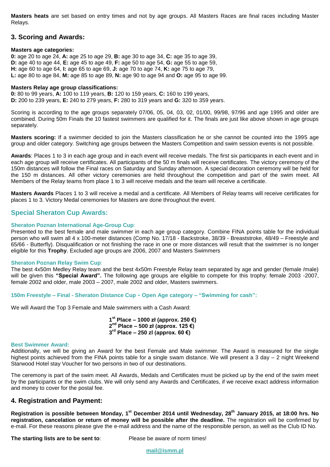**Masters heats** are set based on entry times and not by age groups. All Masters Races are final races including Master Relays.

#### **3. Scoring and Awards:**

#### **Masters age categories:**

**0:** age 20 to age 24, **A:** age 25 to age 29, **B:** age 30 to age 34, **C:** age 35 to age 39, **D:** age 40 to age 44, **E:** age 45 to age 49, **F:** age 50 to age 54, **G:** age 55 to age 59, **H:** age 60 to age 64, **I:** age 65 to age 69, **J:** age 70 to age 74, **K:** age 75 to age 79, **L:** age 80 to age 84, **M:** age 85 to age 89, **N:** age 90 to age 94 and **O:** age 95 to age 99.

#### **Masters Relay age group classifications:**

**0:** 80 to 99 years, **A:** 100 to 119 years, **B:** 120 to 159 years, **C:** 160 to 199 years, **D:** 200 to 239 years, **E:** 240 to 279 years, **F:** 280 to 319 years and **G:** 320 to 359 years.

Scoring is according to the age groups separately 07/06, 05, 04, 03, 02, 01/00, 99/98, 97/96 and age 1995 and older are combined. During 50m Finals the 10 fastest swimmers are qualified for it. The finals are just like above shown in age groups separately.

**Masters scoring:** If a swimmer decided to join the Masters classification he or she cannot be counted into the 1995 age group and older category. Switching age groups between the Masters Competition and swim session events is not possible.

**Awards**: Places 1 to 3 in each age group and in each event will receive medals. The first six participants in each event and in each age group will receive certificates. All participants of the 50 m finals will receive certificates. The victory ceremony of the 150m distances will follow the Final races on Saturday and Sunday afternoon. A special decoration ceremony will be held for the 150 m distances. All other victory ceremonies are held throughout the competition and part of the swim meet. All Members of the Relay teams from place 1 to 3 will receive medals and the team will receive a certificate.

**Masters Awards** Places 1 to 3 will receive a medal and a certificate. All Members of Relay teams will receive certificates for places 1 to 3. Victory Medal ceremonies for Masters are done throughout the event.

#### **Special Sheraton Cup Awards:**

#### **Sheraton Poznan International Age-Group Cup**:

Presented to the best female and male swimmer in each age group category. Combine FINA points table for the individual person who will swim all 4 x 100-meter distances (Comp No. 17/18 - Backstroke, 38/39 - Breaststroke, 48/49 – Freestyle and 65/66 - Butterfly). Disqualification or not finishing the race in one or more distances will result that the swimmer is no longer eligible for this **Trophy**. Excluded age groups are 2006, 2007 and Masters Swimmers

#### **Sheraton Poznan Relay Swim Cup**:

The best 4x50m Medley Relay team and the best 4x50m Freestyle Relay team separated by age and gender (female /male) will be given this **"Special Award".** The following age groups are eligible to compete for this trophy: female 2003 -2007, female 2002 and older, male 2003 – 2007, male 2002 and older, Masters swimmers.

**150m Freestyle – Final - Sheraton Distance Cup - Open Age category – "Swimming for cash":**

We will Award the Top 3 Female and Male swimmers with a Cash Award:

**1 st Place – 1000 zł (approx. 250 €) 2 nd Place – 500 zł (approx. 125 €) 3 rd Place – 250 zl (approx. 60 €)**

#### **Best Swimmer Award:**

Additionally, we will be giving an Award for the best Female and Male swimmer. The Award is measured for the single highest points achieved from the FINA points table for a single swam distance. We will present a 3 day – 2 night Weekend Starwood Hotel stay Voucher for two persons in two of our destinations.

The ceremony is part of the swim meet. All Awards, Medals and Certificates must be picked up by the end of the swim meet by the participants or the swim clubs. We will only send any Awards and Certificates, if we receive exact address information and money to cover for the postal fee.

#### **4. Registration and Payment:**

**Registration is possible between Monday, 1 st December 2014 until Wednesday, 28 th January 2015, at 18:00 hrs. No registration, cancelation or return of money will be possible after the deadline.** The registration will be confirmed by e-mail. For these reasons please give the e-mail address and the name of the responsible person, as well as the Club ID No.

**The starting lists are to be sent to:** Please be aware of norm times!

**mail@ismm.pl**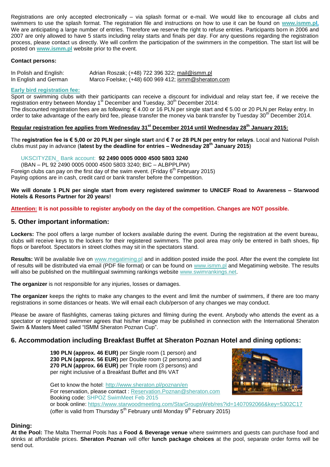Registrations are only accepted electronically – via splash format or e-mail. We would like to encourage all clubs and swimmers to use the splash format. The registration file and instructions on how to use it can be found on **[www.ismm.pl.](http://www.ismm.pl/)** We are anticipating a large number of entries. Therefore we reserve the right to refuse entries. Participants born in 2006 and 2007 are only allowed to have 5 starts including relay starts and finals per day. For any questions regarding the registration process, please contact us directly. We will confirm the participation of the swimmers in the competition. The start list will be posted on **[www.ismm.pl](http://www.ismm.pl/)** website prior to the event.

#### **Contact persons:**

| In Polish and English: | Adrian Roszak; (+48) 722 396 322; mail@ismm.pl      |
|------------------------|-----------------------------------------------------|
| In English and German  | Marco Foelske; (+48) 600 969 412; ismm@sheraton.com |

#### **Early bird registration fee:**

Sport or swimming clubs with their participants can receive a discount for individual and relay start fee, if we receive the registration entry between Monday 1<sup>st</sup> December and Tuesday, 30<sup>th</sup> December 2014:

The discounted registration fees are as following:  $\epsilon$  4.00 or 16 PLN per single start and  $\epsilon$  5.00 or 20 PLN per Relay entry. In order to take advantage of the early bird fee, please transfer the money via bank transfer by Tuesday 30<sup>th</sup> December 2014.

#### **Regular registration fee applies from Wednesday 31st December 2014 until Wednesday 28th January 2015:**

The **registration fee is € 5,00 or 20 PLN per single start** and **€ 7 or 28 PLN per entry for relays**. Local and National Polish clubs must pay in advance (**latest by the deadline for entries – Wednesday 28th January 2015**)

#### UKSCITYZEN\_ Bank account: **92 2490 0005 0000 4500 5803 3240**

(IBAN – PL 92 2490 0005 0000 4500 5803 3240; BIC – ALBPPLPW) Foreign clubs can pay on the first day of the swim event. (Friday  $6<sup>th</sup>$  February 2015) Paying options are in cash, credit card or bank transfer before the competition.

#### **We will donate 1 PLN per single start from every registered swimmer to UNICEF Road to Awareness – Starwood Hotels & Resorts Partner for 20 years!**

**Attention: It is not possible to register anybody on the day of the competition. Changes are NOT possible.**

#### **5. Other important information:**

**Lockers:** The pool offers a large number of lockers available during the event. During the registration at the event bureau, clubs will receive keys to the lockers for their registered swimmers. The pool area may only be entered in bath shoes, flip flops or barefoot. Spectators in street clothes may sit in the spectators stand.

Results: Will be available live on [www.megatiming.pl](http://www.omegatiming.pl/) and in addition posted inside the pool. After the event the complete list of results will be distributed via email (PDF file format) or can be found on [www.ismm.pl](http://www.ismm.pl/) and Megatiming website. The results will also be published on the multilingual swimming rankings website [www.swimrankings.net.](http://www.swimrankings.net/)

**The organizer** is not responsible for any injuries, losses or damages.

**The organizer** keeps the rights to make any changes to the event and limit the number of swimmers, if there are too many registrations in some distances or heats. We will email each club/person of any changes we may conduct.

Please be aware of flashlights, cameras taking pictures and filming during the event. Anybody who attends the event as a spectator or registered swimmer agrees that his/her image may be published in connection with the International Sheraton Swim & Masters Meet called "ISMM Sheraton Poznan Cup".

#### **6. Accommodation including Breakfast Buffet at Sheraton Poznan Hotel and dining options:**

 **PLN (approx. 46 EUR)** per Single room (1 person) and **PLN (approx. 56 EUR)** per Double room (2 persons) and **PLN (approx. 66 EUR)** per Triple room (3 persons) and per night inclusive of a Breakfast Buffet and 8% VAT



Get to know the hotel:<http://www.sheraton.pl/poznan/en> For reservation, please contact : [Reservation.Poznan@sheraton.com](mailto:Reservation.Poznan@sheraton.com) Booking code: SHPOZ SwimMeet Feb 2015 or book online:<https://www.starwoodmeeting.com/StarGroupsWeb/res?id=1407092066&key=5302C17> (offer is valid from Thursday  $5<sup>th</sup>$  February until Monday  $9<sup>th</sup>$  February 2015)

#### **Dining:**

**At the Pool:** The Malta Thermal Pools has a **Food & Beverage venue** where swimmers and guests can purchase food and drinks at affordable prices. **Sheraton Poznan** will offer **lunch package choices** at the pool, separate order forms will be send out.